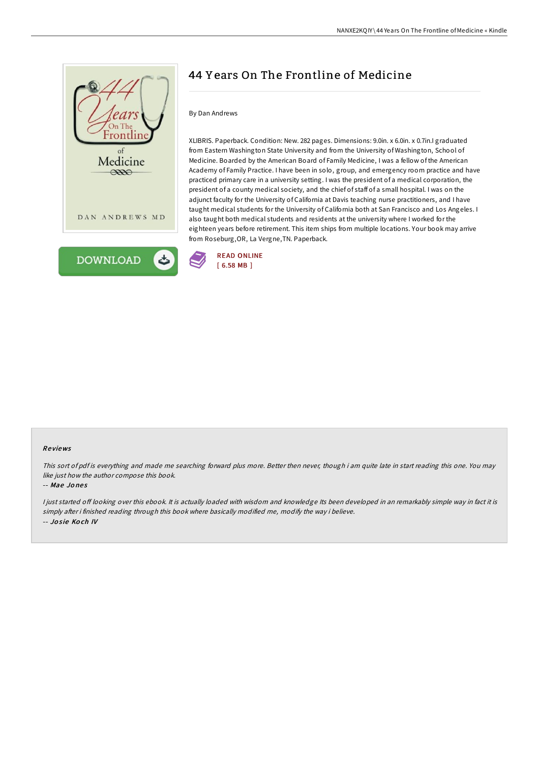



# 44 Y ears On The Frontline of Medicine

### By Dan Andrews

XLIBRIS. Paperback. Condition: New. 282 pages. Dimensions: 9.0in. x 6.0in. x 0.7in.I graduated from Eastern Washington State University and from the University of Washington, School of Medicine. Boarded by the American Board of Family Medicine, I was a fellow of the American Academy of Family Practice. I have been in solo, group, and emergency room practice and have practiced primary care in a university setting. I was the president of a medical corporation, the president of a county medical society, and the chief of staff of a small hospital. I was on the adjunct faculty for the University of California at Davis teaching nurse practitioners, and I have taught medical students for the University of California both at San Francisco and Los Angeles. I also taught both medical students and residents at the university where I worked for the eighteen years before retirement. This item ships from multiple locations. Your book may arrive from Roseburg,OR, La Vergne,TN. Paperback.



#### Re views

This sort of pdf is everything and made me searching forward plus more. Better then never, though i am quite late in start reading this one. You may like just how the author compose this book.

#### -- Mae Jo ne s

I just started off looking over this ebook. It is actually loaded with wisdom and knowledge Its been developed in an remarkably simple way in fact it is simply after i finished reading through this book where basically modified me, modify the way i believe. -- Josie Koch IV